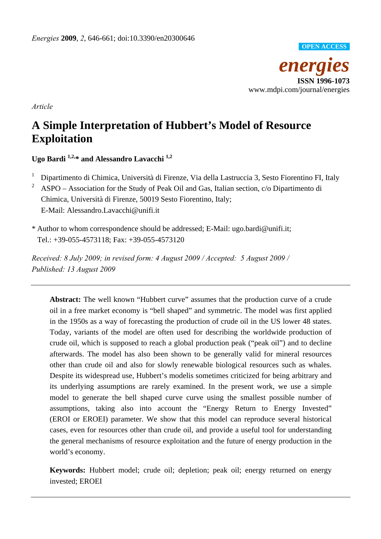

*Article* 

# **A Simple Interpretation of Hubbert's Model of Resource Exploitation**

**Ugo Bardi 1,2,\* and Alessandro Lavacchi 1,2**

- 1 Dipartimento di Chimica, Università di Firenze, Via della Lastruccia 3, Sesto Fiorentino FI, Italy
- 2 ASPO – Association for the Study of Peak Oil and Gas, Italian section, c/o Dipartimento di Chimica, Università di Firenze, 50019 Sesto Fiorentino, Italy; E-Mail: Alessandro.Lavacchi@unifi.it
- \* Author to whom correspondence should be addressed; E-Mail: ugo.bardi@unifi.it; Tel.: +39-055-4573118; Fax: +39-055-4573120

*Received: 8 July 2009; in revised form: 4 August 2009 / Accepted: 5 August 2009 / Published: 13 August 2009* 

**Abstract:** The well known "Hubbert curve" assumes that the production curve of a crude oil in a free market economy is "bell shaped" and symmetric. The model was first applied in the 1950s as a way of forecasting the production of crude oil in the US lower 48 states. Today, variants of the model are often used for describing the worldwide production of crude oil, which is supposed to reach a global production peak ("peak oil") and to decline afterwards. The model has also been shown to be generally valid for mineral resources other than crude oil and also for slowly renewable biological resources such as whales. Despite its widespread use, Hubbert's modelis sometimes criticized for being arbitrary and its underlying assumptions are rarely examined. In the present work, we use a simple model to generate the bell shaped curve curve using the smallest possible number of assumptions, taking also into account the "Energy Return to Energy Invested" (EROI or EROEI) parameter. We show that this model can reproduce several historical cases, even for resources other than crude oil, and provide a useful tool for understanding the general mechanisms of resource exploitation and the future of energy production in the world's economy.

**Keywords:** Hubbert model; crude oil; depletion; peak oil; energy returned on energy invested; EROEI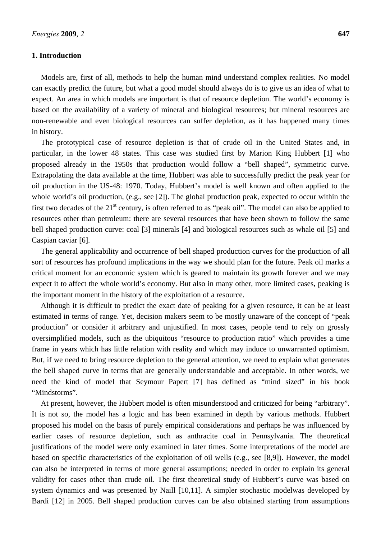## **1. Introduction**

Models are, first of all, methods to help the human mind understand complex realities. No model can exactly predict the future, but what a good model should always do is to give us an idea of what to expect. An area in which models are important is that of resource depletion. The world's economy is based on the availability of a variety of mineral and biological resources; but mineral resources are non-renewable and even biological resources can suffer depletion, as it has happened many times in history.

The prototypical case of resource depletion is that of crude oil in the United States and, in particular, in the lower 48 states. This case was studied first by Marion King Hubbert [1] who proposed already in the 1950s that production would follow a "bell shaped", symmetric curve. Extrapolating the data available at the time, Hubbert was able to successfully predict the peak year for oil production in the US-48: 1970. Today, Hubbert's model is well known and often applied to the whole world's oil production, (e.g., see [2]). The global production peak, expected to occur within the first two decades of the  $21<sup>st</sup>$  century, is often referred to as "peak oil". The model can also be applied to resources other than petroleum: there are several resources that have been shown to follow the same bell shaped production curve: coal [3] minerals [4] and biological resources such as whale oil [5] and Caspian caviar [6].

The general applicability and occurrence of bell shaped production curves for the production of all sort of resources has profound implications in the way we should plan for the future. Peak oil marks a critical moment for an economic system which is geared to maintain its growth forever and we may expect it to affect the whole world's economy. But also in many other, more limited cases, peaking is the important moment in the history of the exploitation of a resource.

Although it is difficult to predict the exact date of peaking for a given resource, it can be at least estimated in terms of range. Yet, decision makers seem to be mostly unaware of the concept of "peak production" or consider it arbitrary and unjustified. In most cases, people tend to rely on grossly oversimplified models, such as the ubiquitous "resource to production ratio" which provides a time frame in years which has little relation with reality and which may induce to unwarranted optimism. But, if we need to bring resource depletion to the general attention, we need to explain what generates the bell shaped curve in terms that are generally understandable and acceptable. In other words, we need the kind of model that Seymour Papert [7] has defined as "mind sized" in his book "Mindstorms".

At present, however, the Hubbert model is often misunderstood and criticized for being "arbitrary". It is not so, the model has a logic and has been examined in depth by various methods. Hubbert proposed his model on the basis of purely empirical considerations and perhaps he was influenced by earlier cases of resource depletion, such as anthracite coal in Pennsylvania. The theoretical justifications of the model were only examined in later times. Some interpretations of the model are based on specific characteristics of the exploitation of oil wells (e.g., see [8,9]). However, the model can also be interpreted in terms of more general assumptions; needed in order to explain its general validity for cases other than crude oil. The first theoretical study of Hubbert's curve was based on system dynamics and was presented by Naill [10,11]. A simpler stochastic modelwas developed by Bardi [12] in 2005. Bell shaped production curves can be also obtained starting from assumptions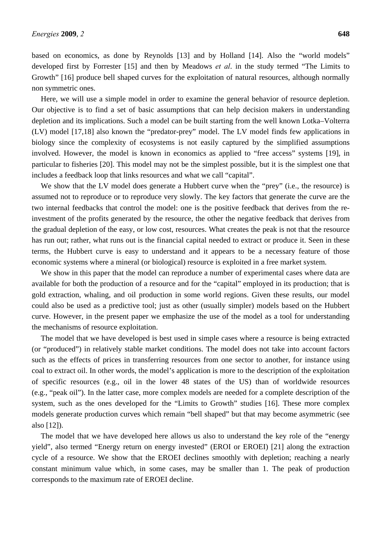based on economics, as done by Reynolds [13] and by Holland [14]. Also the "world models" developed first by Forrester [15] and then by Meadows *et al*. in the study termed "The Limits to Growth" [16] produce bell shaped curves for the exploitation of natural resources, although normally non symmetric ones.

Here, we will use a simple model in order to examine the general behavior of resource depletion. Our objective is to find a set of basic assumptions that can help decision makers in understanding depletion and its implications. Such a model can be built starting from the well known Lotka–Volterra (LV) model [17,18] also known the "predator-prey" model. The LV model finds few applications in biology since the complexity of ecosystems is not easily captured by the simplified assumptions involved. However, the model is known in economics as applied to "free access" systems [19], in particular to fisheries [20]. This model may not be the simplest possible, but it is the simplest one that includes a feedback loop that links resources and what we call "capital".

We show that the LV model does generate a Hubbert curve when the "prey" (i.e., the resource) is assumed not to reproduce or to reproduce very slowly. The key factors that generate the curve are the two internal feedbacks that control the model: one is the positive feedback that derives from the reinvestment of the profits generated by the resource, the other the negative feedback that derives from the gradual depletion of the easy, or low cost, resources. What creates the peak is not that the resource has run out; rather, what runs out is the financial capital needed to extract or produce it. Seen in these terms, the Hubbert curve is easy to understand and it appears to be a necessary feature of those economic systems where a mineral (or biological) resource is exploited in a free market system.

We show in this paper that the model can reproduce a number of experimental cases where data are available for both the production of a resource and for the "capital" employed in its production; that is gold extraction, whaling, and oil production in some world regions. Given these results, our model could also be used as a predictive tool; just as other (usually simpler) models based on the Hubbert curve. However, in the present paper we emphasize the use of the model as a tool for understanding the mechanisms of resource exploitation.

The model that we have developed is best used in simple cases where a resource is being extracted (or "produced") in relatively stable market conditions. The model does not take into account factors such as the effects of prices in transferring resources from one sector to another, for instance using coal to extract oil. In other words, the model's application is more to the description of the exploitation of specific resources (e.g., oil in the lower 48 states of the US) than of worldwide resources (e.g., "peak oil"). In the latter case, more complex models are needed for a complete description of the system, such as the ones developed for the "Limits to Growth" studies [16]. These more complex models generate production curves which remain "bell shaped" but that may become asymmetric (see also [12]).

The model that we have developed here allows us also to understand the key role of the "energy yield", also termed "Energy return on energy invested" (EROI or EROEI) [21] along the extraction cycle of a resource. We show that the EROEI declines smoothly with depletion; reaching a nearly constant minimum value which, in some cases, may be smaller than 1. The peak of production corresponds to the maximum rate of EROEI decline.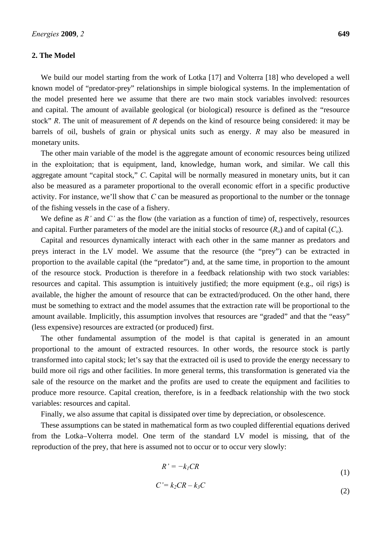## **2. The Model**

We build our model starting from the work of Lotka [17] and Volterra [18] who developed a well known model of "predator-prey" relationships in simple biological systems. In the implementation of the model presented here we assume that there are two main stock variables involved: resources and capital. The amount of available geological (or biological) resource is defined as the "resource stock" *R*. The unit of measurement of *R* depends on the kind of resource being considered: it may be barrels of oil, bushels of grain or physical units such as energy. *R* may also be measured in monetary units.

The other main variable of the model is the aggregate amount of economic resources being utilized in the exploitation; that is equipment, land, knowledge, human work, and similar. We call this aggregate amount "capital stock," *C*. Capital will be normally measured in monetary units, but it can also be measured as a parameter proportional to the overall economic effort in a specific productive activity. For instance, we'll show that *C* can be measured as proportional to the number or the tonnage of the fishing vessels in the case of a fishery.

We define as  $R'$  and  $C'$  as the flow (the variation as a function of time) of, respectively, resources and capital. Further parameters of the model are the initial stocks of resource  $(R<sub>o</sub>)$  and of capital  $(C<sub>o</sub>)$ .

Capital and resources dynamically interact with each other in the same manner as predators and preys interact in the LV model. We assume that the resource (the "prey") can be extracted in proportion to the available capital (the "predator") and, at the same time, in proportion to the amount of the resource stock. Production is therefore in a feedback relationship with two stock variables: resources and capital. This assumption is intuitively justified; the more equipment (e.g., oil rigs) is available, the higher the amount of resource that can be extracted/produced. On the other hand, there must be something to extract and the model assumes that the extraction rate will be proportional to the amount available. Implicitly, this assumption involves that resources are "graded" and that the "easy" (less expensive) resources are extracted (or produced) first.

The other fundamental assumption of the model is that capital is generated in an amount proportional to the amount of extracted resources. In other words, the resource stock is partly transformed into capital stock; let's say that the extracted oil is used to provide the energy necessary to build more oil rigs and other facilities. In more general terms, this transformation is generated via the sale of the resource on the market and the profits are used to create the equipment and facilities to produce more resource. Capital creation, therefore, is in a feedback relationship with the two stock variables: resources and capital.

Finally, we also assume that capital is dissipated over time by depreciation, or obsolescence.

These assumptions can be stated in mathematical form as two coupled differential equations derived from the Lotka–Volterra model. One term of the standard LV model is missing, that of the reproduction of the prey, that here is assumed not to occur or to occur very slowly:

$$
R' = -k_I C R \tag{1}
$$

$$
C'=k_2CR-k_3C
$$
\n<sup>(2)</sup>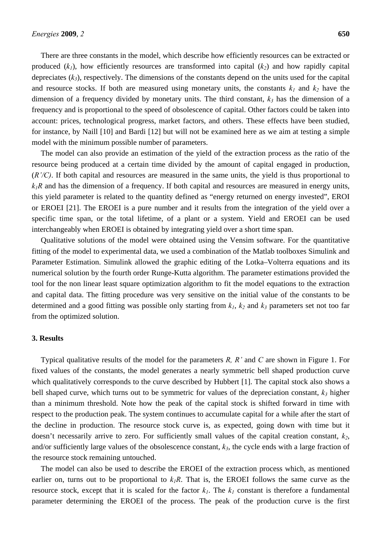There are three constants in the model, which describe how efficiently resources can be extracted or produced  $(k_1)$ , how efficiently resources are transformed into capital  $(k_2)$  and how rapidly capital depreciates (*k3*), respectively. The dimensions of the constants depend on the units used for the capital and resource stocks. If both are measured using monetary units, the constants  $k_1$  and  $k_2$  have the dimension of a frequency divided by monetary units. The third constant,  $k_3$  has the dimension of a frequency and is proportional to the speed of obsolescence of capital. Other factors could be taken into account: prices, technological progress, market factors, and others. These effects have been studied, for instance, by Naill [10] and Bardi [12] but will not be examined here as we aim at testing a simple model with the minimum possible number of parameters.

The model can also provide an estimation of the yield of the extraction process as the ratio of the resource being produced at a certain time divided by the amount of capital engaged in production, (*R'/C)*. If both capital and resources are measured in the same units, the yield is thus proportional to  $k_1R$  and has the dimension of a frequency. If both capital and resources are measured in energy units, this yield parameter is related to the quantity defined as "energy returned on energy invested", EROI or EROEI [21]. The EROEI is a pure number and it results from the integration of the yield over a specific time span, or the total lifetime, of a plant or a system. Yield and EROEI can be used interchangeably when EROEI is obtained by integrating yield over a short time span.

Qualitative solutions of the model were obtained using the Vensim software. For the quantitative fitting of the model to experimental data, we used a combination of the Matlab toolboxes Simulink and Parameter Estimation. Simulink allowed the graphic editing of the Lotka–Volterra equations and its numerical solution by the fourth order Runge-Kutta algorithm. The parameter estimations provided the tool for the non linear least square optimization algorithm to fit the model equations to the extraction and capital data. The fitting procedure was very sensitive on the initial value of the constants to be determined and a good fitting was possible only starting from  $k_1$ ,  $k_2$  and  $k_3$  parameters set not too far from the optimized solution.

## **3. Results**

Typical qualitative results of the model for the parameters *R, R'* and *C* are shown in Figure 1. For fixed values of the constants, the model generates a nearly symmetric bell shaped production curve which qualitatively corresponds to the curve described by Hubbert [1]. The capital stock also shows a bell shaped curve, which turns out to be symmetric for values of the depreciation constant,  $k_3$  higher than a minimum threshold. Note how the peak of the capital stock is shifted forward in time with respect to the production peak. The system continues to accumulate capital for a while after the start of the decline in production. The resource stock curve is, as expected, going down with time but it doesn't necessarily arrive to zero. For sufficiently small values of the capital creation constant,  $k_2$ , and/or sufficiently large values of the obsolescence constant,  $k<sub>3</sub>$ , the cycle ends with a large fraction of the resource stock remaining untouched.

The model can also be used to describe the EROEI of the extraction process which, as mentioned earlier on, turns out to be proportional to  $k_1R$ . That is, the EROEI follows the same curve as the resource stock, except that it is scaled for the factor  $k_l$ . The  $k_l$  constant is therefore a fundamental parameter determining the EROEI of the process. The peak of the production curve is the first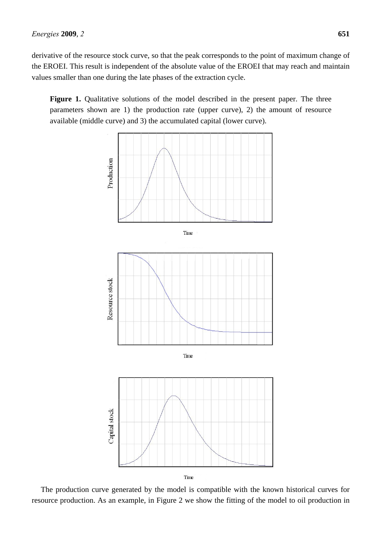derivative of the resource stock curve, so that the peak corresponds to the point of maximum change of the EROEI. This result is independent of the absolute value of the EROEI that may reach and maintain values smaller than one during the late phases of the extraction cycle.

Figure 1. Qualitative solutions of the model described in the present paper. The three parameters shown are 1) the production rate (upper curve), 2) the amount of resource available (middle curve) and 3) the accumulated capital (lower curve).



The production curve generated by the model is compatible with the known historical curves for resource production. As an example, in Figure 2 we show the fitting of the model to oil production in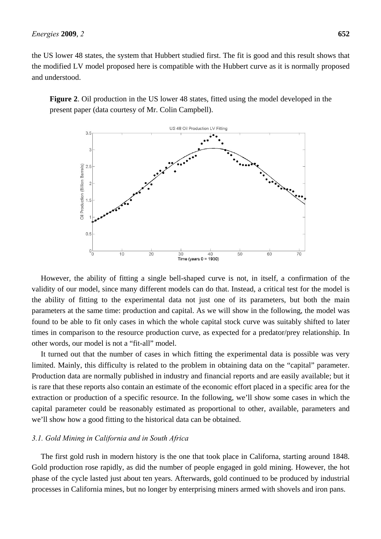the US lower 48 states, the system that Hubbert studied first. The fit is good and this result shows that the modified LV model proposed here is compatible with the Hubbert curve as it is normally proposed and understood.

**Figure 2**. Oil production in the US lower 48 states, fitted using the model developed in the present paper (data courtesy of Mr. Colin Campbell).



However, the ability of fitting a single bell-shaped curve is not, in itself, a confirmation of the validity of our model, since many different models can do that. Instead, a critical test for the model is the ability of fitting to the experimental data not just one of its parameters, but both the main parameters at the same time: production and capital. As we will show in the following, the model was found to be able to fit only cases in which the whole capital stock curve was suitably shifted to later times in comparison to the resource production curve, as expected for a predator/prey relationship. In other words, our model is not a "fit-all" model.

It turned out that the number of cases in which fitting the experimental data is possible was very limited. Mainly, this difficulty is related to the problem in obtaining data on the "capital" parameter. Production data are normally published in industry and financial reports and are easily available; but it is rare that these reports also contain an estimate of the economic effort placed in a specific area for the extraction or production of a specific resource. In the following, we'll show some cases in which the capital parameter could be reasonably estimated as proportional to other, available, parameters and we'll show how a good fitting to the historical data can be obtained.

## *3.1. Gold Mining in California and in South Africa*

The first gold rush in modern history is the one that took place in Californa, starting around 1848. Gold production rose rapidly, as did the number of people engaged in gold mining. However, the hot phase of the cycle lasted just about ten years. Afterwards, gold continued to be produced by industrial processes in California mines, but no longer by enterprising miners armed with shovels and iron pans.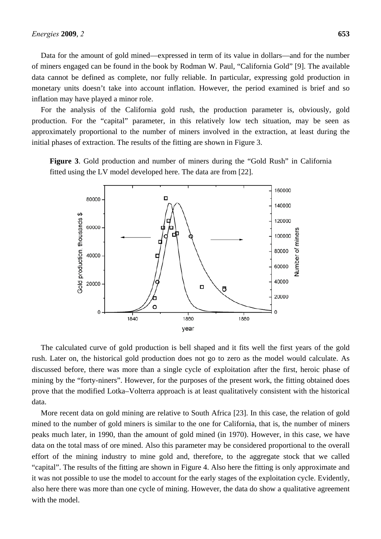Data for the amount of gold mined—expressed in term of its value in dollars—and for the number of miners engaged can be found in the book by Rodman W. Paul, "California Gold" [9]. The available data cannot be defined as complete, nor fully reliable. In particular, expressing gold production in monetary units doesn't take into account inflation. However, the period examined is brief and so inflation may have played a minor role.

For the analysis of the California gold rush, the production parameter is, obviously, gold production. For the "capital" parameter, in this relatively low tech situation, may be seen as approximately proportional to the number of miners involved in the extraction, at least during the initial phases of extraction. The results of the fitting are shown in Figure 3.

**Figure 3**. Gold production and number of miners during the "Gold Rush" in California fitted using the LV model developed here. The data are from [22].



The calculated curve of gold production is bell shaped and it fits well the first years of the gold rush. Later on, the historical gold production does not go to zero as the model would calculate. As discussed before, there was more than a single cycle of exploitation after the first, heroic phase of mining by the "forty-niners". However, for the purposes of the present work, the fitting obtained does prove that the modified Lotka–Volterra approach is at least qualitatively consistent with the historical data.

More recent data on gold mining are relative to South Africa [23]. In this case, the relation of gold mined to the number of gold miners is similar to the one for California, that is, the number of miners peaks much later, in 1990, than the amount of gold mined (in 1970). However, in this case, we have data on the total mass of ore mined. Also this parameter may be considered proportional to the overall effort of the mining industry to mine gold and, therefore, to the aggregate stock that we called "capital". The results of the fitting are shown in Figure 4. Also here the fitting is only approximate and it was not possible to use the model to account for the early stages of the exploitation cycle. Evidently, also here there was more than one cycle of mining. However, the data do show a qualitative agreement with the model.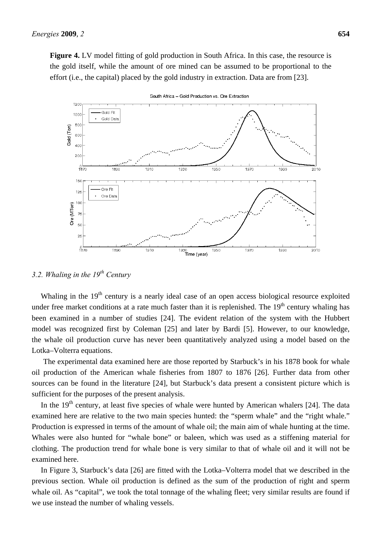**Figure 4.** LV model fitting of gold production in South Africa. In this case, the resource is the gold itself, while the amount of ore mined can be assumed to be proportional to the effort (i.e., the capital) placed by the gold industry in extraction. Data are from [23].



South Africa - Gold Production vs. Ore Extraction

*3.2. Whaling in the 19th Century* 

Whaling in the 19<sup>th</sup> century is a nearly ideal case of an open access biological resource exploited under free market conditions at a rate much faster than it is replenished. The  $19<sup>th</sup>$  century whaling has been examined in a number of studies [24]. The evident relation of the system with the Hubbert model was recognized first by Coleman [25] and later by Bardi [5]. However, to our knowledge, the whale oil production curve has never been quantitatively analyzed using a model based on the Lotka–Volterra equations.

The experimental data examined here are those reported by Starbuck's in his 1878 book for whale oil production of the American whale fisheries from 1807 to 1876 [26]. Further data from other sources can be found in the literature [24], but Starbuck's data present a consistent picture which is sufficient for the purposes of the present analysis.

In the  $19<sup>th</sup>$  century, at least five species of whale were hunted by American whalers [24]. The data examined here are relative to the two main species hunted: the "sperm whale" and the "right whale." Production is expressed in terms of the amount of whale oil; the main aim of whale hunting at the time. Whales were also hunted for "whale bone" or baleen, which was used as a stiffening material for clothing. The production trend for whale bone is very similar to that of whale oil and it will not be examined here.

In Figure 3, Starbuck's data [26] are fitted with the Lotka–Volterra model that we described in the previous section. Whale oil production is defined as the sum of the production of right and sperm whale oil. As "capital", we took the total tonnage of the whaling fleet; very similar results are found if we use instead the number of whaling vessels.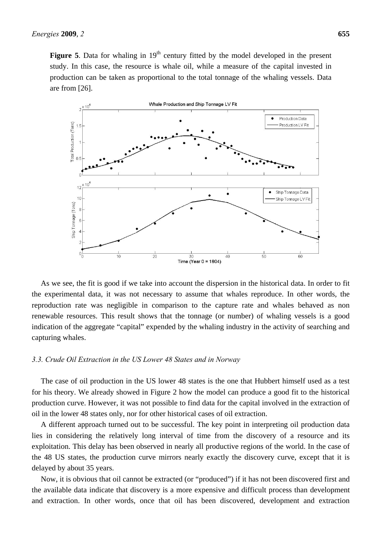**Figure 5**. Data for whaling in 19<sup>th</sup> century fitted by the model developed in the present study. In this case, the resource is whale oil, while a measure of the capital invested in production can be taken as proportional to the total tonnage of the whaling vessels. Data are from [26].



As we see, the fit is good if we take into account the dispersion in the historical data. In order to fit the experimental data, it was not necessary to assume that whales reproduce. In other words, the reproduction rate was negligible in comparison to the capture rate and whales behaved as non renewable resources. This result shows that the tonnage (or number) of whaling vessels is a good indication of the aggregate "capital" expended by the whaling industry in the activity of searching and capturing whales.

#### *3.3. Crude Oil Extraction in the US Lower 48 States and in Norway*

The case of oil production in the US lower 48 states is the one that Hubbert himself used as a test for his theory. We already showed in Figure 2 how the model can produce a good fit to the historical production curve. However, it was not possible to find data for the capital involved in the extraction of oil in the lower 48 states only, nor for other historical cases of oil extraction.

A different approach turned out to be successful. The key point in interpreting oil production data lies in considering the relatively long interval of time from the discovery of a resource and its exploitation. This delay has been observed in nearly all productive regions of the world. In the case of the 48 US states, the production curve mirrors nearly exactly the discovery curve, except that it is delayed by about 35 years.

Now, it is obvious that oil cannot be extracted (or "produced") if it has not been discovered first and the available data indicate that discovery is a more expensive and difficult process than development and extraction. In other words, once that oil has been discovered, development and extraction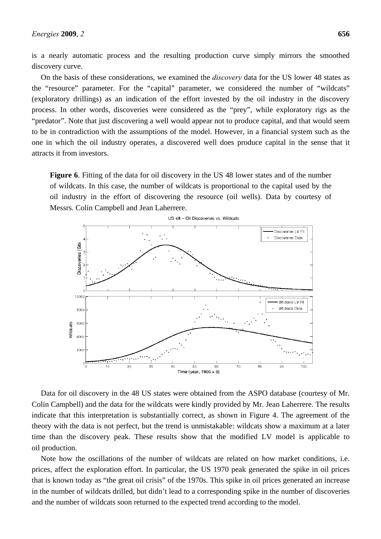is a nearly automatic process and the resulting production curve simply mirrors the smoothed discovery curve.

On the basis of these considerations, we examined the *discovery* data for the US lower 48 states as the "resource" parameter. For the "capital" parameter, we considered the number of "wildcats" (exploratory drillings) as an indication of the effort invested by the oil industry in the discovery process. In other words, discoveries were considered as the "prey", while exploratory rigs as the "predator". Note that just discovering a well would appear not to produce capital, and that would seem to be in contradiction with the assumptions of the model. However, in a financial system such as the one in which the oil industry operates, a discovered well does produce capital in the sense that it attracts it from investors.

**Figure 6**. Fitting of the data for oil discovery in the US 48 lower states and of the number of wildcats. In this case, the number of wildcats is proportional to the capital used by the oil industry in the effort of discovering the resource (oil wells). Data by courtesy of Messrs. Colin Campbell and Jean Laherrere.



Data for oil discovery in the 48 US states were obtained from the ASPO database (courtesy of Mr. Colin Campbell) and the data for the wildcats were kindly provided by Mr. Jean Laherrere. The results indicate that this interpretation is substantially correct, as shown in Figure 4. The agreement of the theory with the data is not perfect, but the trend is unmistakable: wildcats show a maximum at a later time than the discovery peak. These results show that the modified LV model is applicable to oil production.

Note how the oscillations of the number of wildcats are related on how market conditions, i.e. prices, affect the exploration effort. In particular, the US 1970 peak generated the spike in oil prices that is known today as "the great oil crisis" of the 1970s. This spike in oil prices generated an increase in the number of wildcats drilled, but didn't lead to a corresponding spike in the number of discoveries and the number of wildcats soon returned to the expected trend according to the model.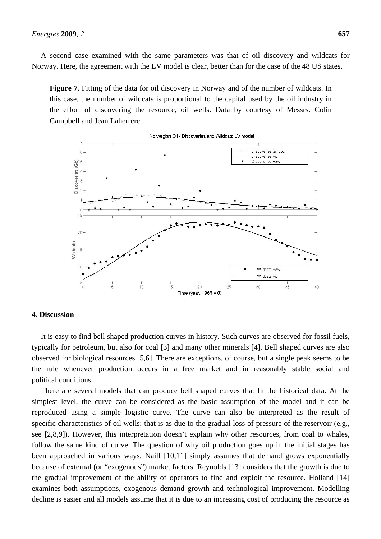A second case examined with the same parameters was that of oil discovery and wildcats for Norway. Here, the agreement with the LV model is clear, better than for the case of the 48 US states.

**Figure 7**. Fitting of the data for oil discovery in Norway and of the number of wildcats. In this case, the number of wildcats is proportional to the capital used by the oil industry in the effort of discovering the resource, oil wells. Data by courtesy of Messrs. Colin Campbell and Jean Laherrere.



Norwegian Oil - Discoveries and Wildcats LV model

### **4. Discussion**

It is easy to find bell shaped production curves in history. Such curves are observed for fossil fuels, typically for petroleum, but also for coal [3] and many other minerals [4]. Bell shaped curves are also observed for biological resources [5,6]. There are exceptions, of course, but a single peak seems to be the rule whenever production occurs in a free market and in reasonably stable social and political conditions.

There are several models that can produce bell shaped curves that fit the historical data. At the simplest level, the curve can be considered as the basic assumption of the model and it can be reproduced using a simple logistic curve. The curve can also be interpreted as the result of specific characteristics of oil wells; that is as due to the gradual loss of pressure of the reservoir (e.g., see [2,8,9]). However, this interpretation doesn't explain why other resources, from coal to whales, follow the same kind of curve. The question of why oil production goes up in the initial stages has been approached in various ways. Naill [10,11] simply assumes that demand grows exponentially because of external (or "exogenous") market factors. Reynolds [13] considers that the growth is due to the gradual improvement of the ability of operators to find and exploit the resource. Holland [14] examines both assumptions, exogenous demand growth and technological improvement. Modelling decline is easier and all models assume that it is due to an increasing cost of producing the resource as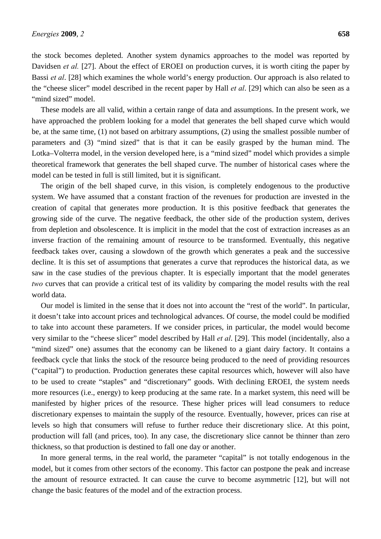the stock becomes depleted. Another system dynamics approaches to the model was reported by Davidsen *et al.* [27]. About the effect of EROEI on production curves, it is worth citing the paper by Bassi *et al*. [28] which examines the whole world's energy production. Our approach is also related to the "cheese slicer" model described in the recent paper by Hall *et al*. [29] which can also be seen as a "mind sized" model.

These models are all valid, within a certain range of data and assumptions. In the present work, we have approached the problem looking for a model that generates the bell shaped curve which would be, at the same time, (1) not based on arbitrary assumptions, (2) using the smallest possible number of parameters and (3) "mind sized" that is that it can be easily grasped by the human mind. The Lotka–Volterra model, in the version developed here, is a "mind sized" model which provides a simple theoretical framework that generates the bell shaped curve. The number of historical cases where the model can be tested in full is still limited, but it is significant.

The origin of the bell shaped curve, in this vision, is completely endogenous to the productive system. We have assumed that a constant fraction of the revenues for production are invested in the creation of capital that generates more production. It is this positive feedback that generates the growing side of the curve. The negative feedback, the other side of the production system, derives from depletion and obsolescence. It is implicit in the model that the cost of extraction increases as an inverse fraction of the remaining amount of resource to be transformed. Eventually, this negative feedback takes over, causing a slowdown of the growth which generates a peak and the successive decline. It is this set of assumptions that generates a curve that reproduces the historical data, as we saw in the case studies of the previous chapter. It is especially important that the model generates *two* curves that can provide a critical test of its validity by comparing the model results with the real world data.

Our model is limited in the sense that it does not into account the "rest of the world". In particular, it doesn't take into account prices and technological advances. Of course, the model could be modified to take into account these parameters. If we consider prices, in particular, the model would become very similar to the "cheese slicer" model described by Hall *et al*. [29]. This model (incidentally, also a "mind sized" one) assumes that the economy can be likened to a giant dairy factory. It contains a feedback cycle that links the stock of the resource being produced to the need of providing resources ("capital") to production. Production generates these capital resources which, however will also have to be used to create "staples" and "discretionary" goods. With declining EROEI, the system needs more resources (i.e., energy) to keep producing at the same rate. In a market system, this need will be manifested by higher prices of the resource. These higher prices will lead consumers to reduce discretionary expenses to maintain the supply of the resource. Eventually, however, prices can rise at levels so high that consumers will refuse to further reduce their discretionary slice. At this point, production will fall (and prices, too). In any case, the discretionary slice cannot be thinner than zero thickness, so that production is destined to fall one day or another.

In more general terms, in the real world, the parameter "capital" is not totally endogenous in the model, but it comes from other sectors of the economy. This factor can postpone the peak and increase the amount of resource extracted. It can cause the curve to become asymmetric [12], but will not change the basic features of the model and of the extraction process.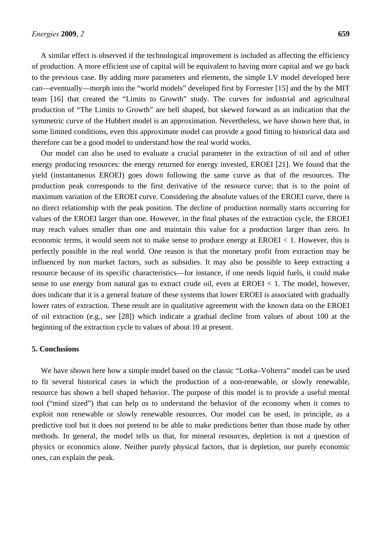A similar effect is observed if the technological improvement is included as affecting the efficiency of production. A more efficient use of capital will be equivalent to having more capital and we go back to the previous case. By adding more parameters and elements, the simple LV model developed here can—eventually—morph into the "world models" developed first by Forrester [15] and the by the MIT team [16] that created the "Limits to Growth" study. The curves for industrial and agricultural production of "The Limits to Growth" are bell shaped, but skewed forward as an indication that the symmetric curve of the Hubbert model is an approximation. Nevertheless, we have shown here that, in some limited conditions, even this approximate model can provide a good fitting to historical data and therefore can be a good model to understand how the real world works.

Our model can also be used to evaluate a crucial parameter in the extraction of oil and of other energy producing resources: the energy returned for energy invested, EROEI [21]. We found that the yield (instantaneous EROEI) goes down following the same curve as that of the resources. The production peak corresponds to the first derivative of the resource curve; that is to the point of maximum variation of the EROEI curve. Considering the absolute values of the EROEI curve, there is no direct relationship with the peak position. The decline of production normally starts occurring for values of the EROEI larger than one. However, in the final phases of the extraction cycle, the EROEI may reach values smaller than one and maintain this value for a production larger than zero. In economic terms, it would seem not to make sense to produce energy at EROEI < 1. However, this is perfectly possible in the real world. One reason is that the monetary profit from extraction may be influenced by non market factors, such as subsidies. It may also be possible to keep extracting a resource because of its specific characteristics—for instance, if one needs liquid fuels, it could make sense to use energy from natural gas to extract crude oil, even at  $EROEI < 1$ . The model, however, does indicate that it is a general feature of these systems that lower EROEI is associated with gradually lower rates of extraction. These result are in qualitative agreement with the known data on the EROEI of oil extraction (e.g., see [28]) which indicate a gradual decline from values of about 100 at the beginning of the extraction cycle to values of about 10 at present.

## **5. Conclusions**

We have shown here how a simple model based on the classic "Lotka–Volterra" model can be used to fit several historical cases in which the production of a non-renewable, or slowly renewable, resource has shown a bell shaped behavior. The purpose of this model is to provide a useful mental tool ("mind sized") that can help us to understand the behavior of the economy when it comes to exploit non renewable or slowly renewable resources. Our model can be used, in principle, as a predictive tool but it does not pretend to be able to make predictions better than those made by other methods. In general, the model tells us that, for mineral resources, depletion is not a question of physics or economics alone. Neither purely physical factors, that is depletion, nor purely economic ones, can explain the peak.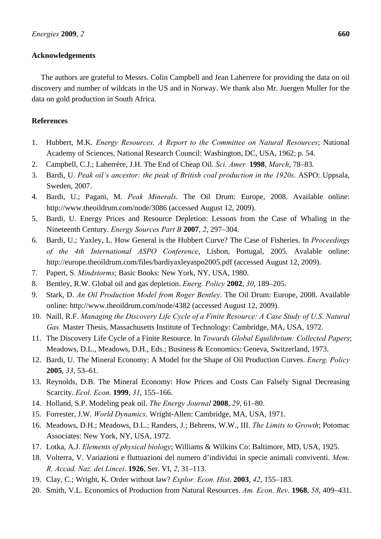# **Acknowledgements**

The authors are grateful to Messrs. Colin Campbell and Jean Laherrere for providing the data on oil discovery and number of wildcats in the US and in Norway. We thank also Mr. Juergen Muller for the data on gold production in South Africa.

# **References**

- 1. Hubbert, M.K. *Energy Resources. A Report to the Committee on Natural Resources*; National Academy of Sciences, National Research Council: Washington, DC, USA, 1962; p. 54.
- 2. Campbell, C.J.; Laherrère, J.H. The End of Cheap Oil. *Sci. Amer.* **1998**, *March*, 78–83.
- 3. Bardi, U. *Peak oil's ancestor: the peak of British coal production in the 1920s*. ASPO: Uppsala, Sweden, 2007.
- 4. Bardi, U.; Pagani, M. *Peak Minerals*. The Oil Drum: Europe, 2008. Available online: http://www.theoildrum.com/node/3086 (accessed August 12, 2009).
- 5. Bardi, U. Energy Prices and Resource Depletion: Lessons from the Case of Whaling in the Nineteenth Century. *Energy Sources Part B* **2007**, *2*, 297–304.
- 6. Bardi, U.; Yaxley, L. How General is the Hubbert Curve? The Case of Fisheries. In *Proceedings of the 4th International ASPO Conference*, Lisbon, Portugal, 2005. Avalable online: http://europe.theoildrum.com/files/bardiyaxleyaspo2005.pdf (accessed August 12, 2009).
- 7. Papert, S. *Mindstorms*; Basic Books: New York, NY, USA, 1980.
- 8. Bentley, R.W. Global oil and gas depletion. *Energ. Policy* **2002**, *30*, 189–205.
- 9. Stark, D. *An Oil Production Model from Roger Bentley*. The Oil Drum: Europe, 2008. Available online: http://www.theoildrum.com/node/4382 (accessed August 12, 2009).
- 10. Naill, R.F. *Managing the Discovery Life Cycle of a Finite Resource: A Case Study of U.S. Natural Gas.* Master Thesis, Massachusetts Institute of Technology: Cambridge, MA, USA, 1972.
- 11. The Discovery Life Cycle of a Finite Resource. In *Towards Global Equilibrium: Collected Papers*; Meadows, D.L., Meadows, D.H., Eds.; Business & Economics: Geneva, Switzerland, 1973.
- 12. Bardi, U. The Mineral Economy: A Model for the Shape of Oil Production Curves. *Energ. Policy* **2005**, *33*, 53–61.
- 13. Reynolds, D.B. The Mineral Economy: How Prices and Costs Can Falsely Signal Decreasing Scarcity. *Ecol. Econ*. **1999**, *31*, 155–166.
- 14. Holland, S.P. Modeling peak oil. *The Energy Journal* **2008**, *29*, 61–80.
- 15. Forrester, J.W. *World Dynamics*. Wright-Allen: Cambridge, MA, USA, 1971.
- 16. Meadows, D.H.; Meadows, D.L.; Randers, J.; Behrens, W.W., III. *The Limits to Growth*; Potomac Associates: New York, NY, USA, 1972.
- 17. Lotka, A.J. *Elements of physical biology*; Williams & Wilkins Co: Baltimore, MD, USA, 1925.
- 18. Volterra, V. Variazioni e fluttuazioni del numero d'individui in specie animali conviventi. *Mem. R. Accad. Naz. dei Lincei*. **1926**, Ser. VI, *2*, 31–113.
- 19. Clay, C.; Wright, K. Order without law? *Explor. Econ. Hist*. **2003**, *42*, 155–183.
- 20. Smith, V.L. Economics of Production from Natural Resources. *Am. Econ. Rev*. **1968**, *58*, 409–431.